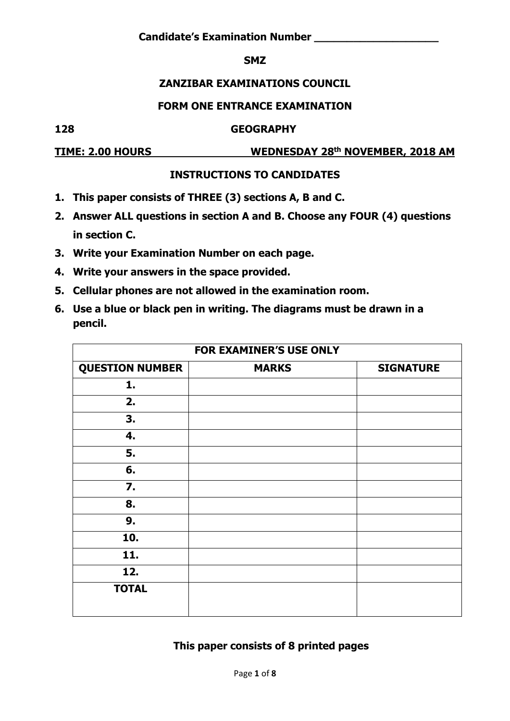#### **SMZ**

#### **ZANZIBAR EXAMINATIONS COUNCIL**

#### **FORM ONE ENTRANCE EXAMINATION**

#### **128 GEOGRAPHY**

**TIME: 2.00 HOURS WEDNESDAY 28th NOVEMBER, 2018 AM**

### **INSTRUCTIONS TO CANDIDATES**

- **1. This paper consists of THREE (3) sections A, B and C.**
- **2. Answer ALL questions in section A and B. Choose any FOUR (4) questions in section C.**
- **3. Write your Examination Number on each page.**
- **4. Write your answers in the space provided.**
- **5. Cellular phones are not allowed in the examination room.**
- **6. Use a blue or black pen in writing. The diagrams must be drawn in a pencil.**

|                        | FOR EXAMINER'S USE ONLY |                  |
|------------------------|-------------------------|------------------|
| <b>QUESTION NUMBER</b> | <b>MARKS</b>            | <b>SIGNATURE</b> |
| 1.                     |                         |                  |
| 2.                     |                         |                  |
| 3.                     |                         |                  |
| 4.                     |                         |                  |
| 5.                     |                         |                  |
| 6.                     |                         |                  |
| 7.                     |                         |                  |
| 8.                     |                         |                  |
| 9.                     |                         |                  |
| 10.                    |                         |                  |
| 11.                    |                         |                  |
| 12.                    |                         |                  |
| <b>TOTAL</b>           |                         |                  |
|                        |                         |                  |

### **This paper consists of 8 printed pages**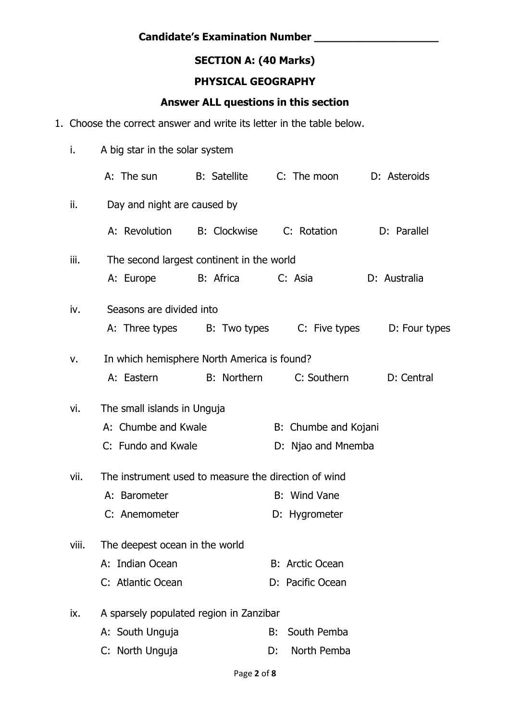# **SECTION A: (40 Marks)**

#### **PHYSICAL GEOGRAPHY**

#### **Answer ALL questions in this section**

1. Choose the correct answer and write its letter in the table below.

| i.    | A big star in the solar system                       |                    |                        |               |
|-------|------------------------------------------------------|--------------------|------------------------|---------------|
|       | A: The sun                                           | B: Satellite       | C: The moon            | D: Asteroids  |
| ii.   | Day and night are caused by                          |                    |                        |               |
|       | A: Revolution B: Clockwise                           |                    | C: Rotation            | D: Parallel   |
| iii.  | The second largest continent in the world            |                    |                        |               |
|       | A: Europe                                            | B: Africa          | C: Asia                | D: Australia  |
| iv.   | Seasons are divided into                             |                    |                        |               |
|       | A: Three types B: Two types                          |                    | C: Five types          | D: Four types |
| v.    | In which hemisphere North America is found?          |                    |                        |               |
|       | A: Eastern                                           | <b>B:</b> Northern | C: Southern            | D: Central    |
| vi.   | The small islands in Unguja                          |                    |                        |               |
|       | A: Chumbe and Kwale                                  |                    | B: Chumbe and Kojani   |               |
|       | C: Fundo and Kwale                                   |                    | D: Njao and Mnemba     |               |
| vii.  | The instrument used to measure the direction of wind |                    |                        |               |
|       | A: Barometer                                         |                    | B: Wind Vane           |               |
|       | C: Anemometer                                        |                    | D: Hygrometer          |               |
| viii. | The deepest ocean in the world                       |                    |                        |               |
|       | A: Indian Ocean                                      |                    | <b>B: Arctic Ocean</b> |               |
|       | C: Atlantic Ocean                                    |                    | D: Pacific Ocean       |               |
| ix.   | A sparsely populated region in Zanzibar              |                    |                        |               |
|       | A: South Unguja                                      |                    | South Pemba<br>B:      |               |
|       | C: North Unguja                                      |                    | North Pemba<br>D:      |               |
|       |                                                      |                    |                        |               |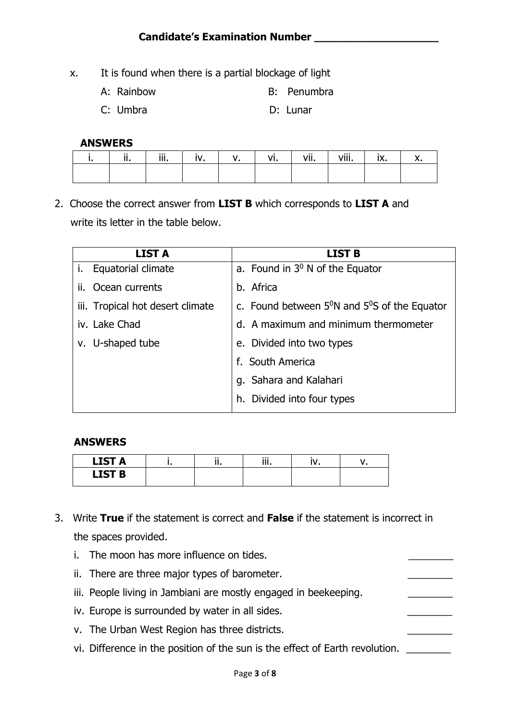- x. It is found when there is a partial blockage of light
	- A: Rainbow B: Penumbra
	- C: Umbra D: Lunar

#### **ANSWERS**

| ii. | iii. |  | VI. | vii. | viii. | ix. |  |
|-----|------|--|-----|------|-------|-----|--|
|     |      |  |     |      |       |     |  |

2. Choose the correct answer from **LIST B** which corresponds to **LIST A** and write its letter in the table below.

| <b>LIST A</b>                    | <b>LIST B</b>                                                   |
|----------------------------------|-----------------------------------------------------------------|
| <b>Equatorial climate</b><br>i.  | a. Found in $3^0$ N of the Equator                              |
| Ocean currents<br>ii.            | b. Africa                                                       |
| iii. Tropical hot desert climate | c. Found between $5^{\circ}$ N and $5^{\circ}$ S of the Equator |
| iv. Lake Chad                    | d. A maximum and minimum thermometer                            |
| v. U-shaped tube                 | e. Divided into two types                                       |
|                                  | f. South America                                                |
|                                  | g. Sahara and Kalahari                                          |
|                                  | h. Divided into four types                                      |

#### **ANSWERS**

| <b>LIST A</b> | $\cdots$<br> | <br>.<br>. |  |
|---------------|--------------|------------|--|
| <b>LIST B</b> |              |            |  |

- 3. Write **True** if the statement is correct and **False** if the statement is incorrect in the spaces provided.
	- i. The moon has more influence on tides.
	- ii. There are three major types of barometer.
	- iii. People living in Jambiani are mostly engaged in beekeeping.
	- iv. Europe is surrounded by water in all sides.
	- v. The Urban West Region has three districts.
	- vi. Difference in the position of the sun is the effect of Earth revolution.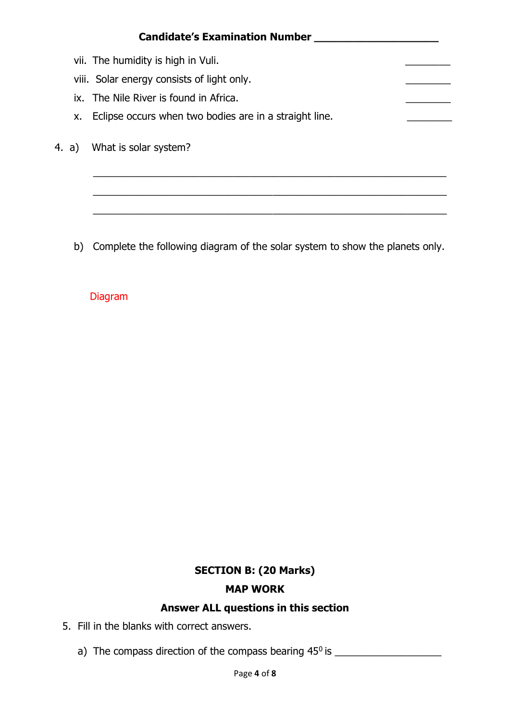|       | <b>Candidate's Examination Number</b>                  |
|-------|--------------------------------------------------------|
|       | vii. The humidity is high in Vuli.                     |
|       | viii. Solar energy consists of light only.             |
|       | ix. The Nile River is found in Africa.                 |
| X.    | Eclipse occurs when two bodies are in a straight line. |
| 4. a) | What is solar system?                                  |
|       |                                                        |
|       |                                                        |

b) Complete the following diagram of the solar system to show the planets only.

# Diagram

# **SECTION B: (20 Marks) MAP WORK**

### **Answer ALL questions in this section**

- 5. Fill in the blanks with correct answers.
	- a) The compass direction of the compass bearing 45<sup>0</sup>is \_\_\_\_\_\_\_\_\_\_\_\_\_\_\_\_\_\_\_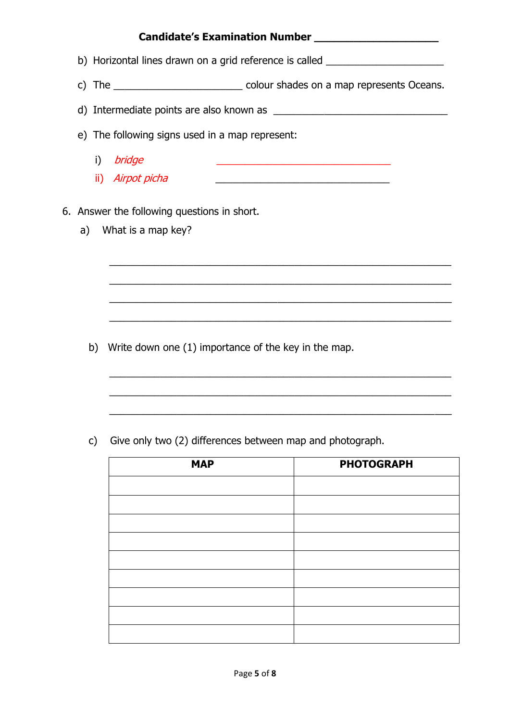#### **Candidate's Examination Number \_\_\_\_\_\_\_\_\_\_\_\_\_\_\_\_\_\_\_**

- b) Horizontal lines drawn on a grid reference is called
- c) The colour shades on a map represents Oceans.
- d) Intermediate points are also known as \_\_\_\_\_\_\_\_\_\_\_\_\_\_\_\_\_\_\_\_\_\_\_\_\_\_\_\_\_\_\_

\_\_\_\_\_\_\_\_\_\_\_\_\_\_\_\_\_\_\_\_\_\_\_\_\_\_\_\_\_\_\_\_\_\_\_\_\_\_\_\_\_\_\_\_\_\_\_\_\_\_\_\_\_\_\_\_\_\_\_\_\_

\_\_\_\_\_\_\_\_\_\_\_\_\_\_\_\_\_\_\_\_\_\_\_\_\_\_\_\_\_\_\_\_\_\_\_\_\_\_\_\_\_\_\_\_\_\_\_\_\_\_\_\_\_\_\_\_\_\_\_\_\_

\_\_\_\_\_\_\_\_\_\_\_\_\_\_\_\_\_\_\_\_\_\_\_\_\_\_\_\_\_\_\_\_\_\_\_\_\_\_\_\_\_\_\_\_\_\_\_\_\_\_\_\_\_\_\_\_\_\_\_\_\_

\_\_\_\_\_\_\_\_\_\_\_\_\_\_\_\_\_\_\_\_\_\_\_\_\_\_\_\_\_\_\_\_\_\_\_\_\_\_\_\_\_\_\_\_\_\_\_\_\_\_\_\_\_\_\_\_\_\_\_\_\_

\_\_\_\_\_\_\_\_\_\_\_\_\_\_\_\_\_\_\_\_\_\_\_\_\_\_\_\_\_\_\_\_\_\_\_\_\_\_\_\_\_\_\_\_\_\_\_\_\_\_\_\_\_\_\_\_\_\_\_\_\_

\_\_\_\_\_\_\_\_\_\_\_\_\_\_\_\_\_\_\_\_\_\_\_\_\_\_\_\_\_\_\_\_\_\_\_\_\_\_\_\_\_\_\_\_\_\_\_\_\_\_\_\_\_\_\_\_\_\_\_\_\_

\_\_\_\_\_\_\_\_\_\_\_\_\_\_\_\_\_\_\_\_\_\_\_\_\_\_\_\_\_\_\_\_\_\_\_\_\_\_\_\_\_\_\_\_\_\_\_\_\_\_\_\_\_\_\_\_\_\_\_\_\_

e) The following signs used in a map represent:

- i) *bridge*
- ii) *Airpot picha*
- 6. Answer the following questions in short.
	- a) What is a map key?

b) Write down one (1) importance of the key in the map.

c) Give only two (2) differences between map and photograph.

| <b>MAP</b> | <b>PHOTOGRAPH</b> |
|------------|-------------------|
|            |                   |
|            |                   |
|            |                   |
|            |                   |
|            |                   |
|            |                   |
|            |                   |
|            |                   |
|            |                   |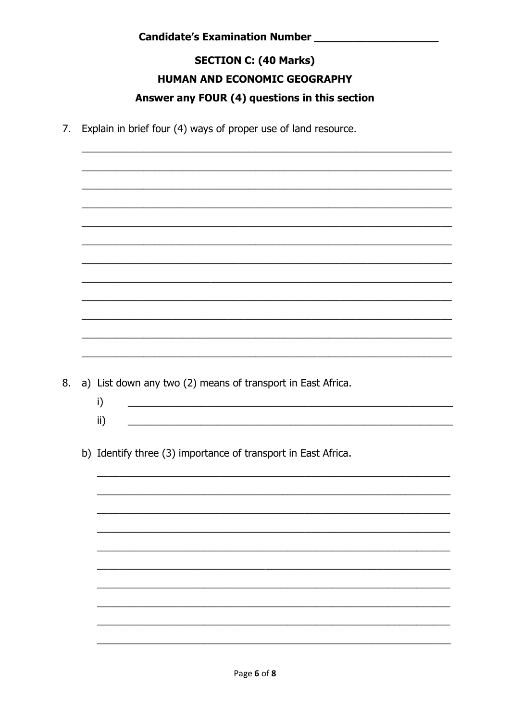# **SECTION C: (40 Marks)** HUMAN AND ECONOMIC GEOGRAPHY Answer any FOUR (4) questions in this section

7. Explain in brief four (4) ways of proper use of land resource.

8. a) List down any two (2) means of transport in East Africa.

- $i)$  $\mathsf{ii}$ )
- b) Identify three (3) importance of transport in East Africa.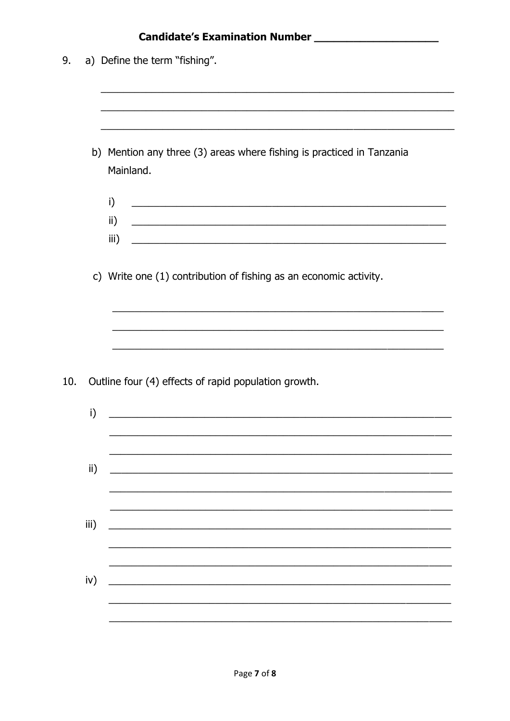|     |      | Candidate's Examination Number [1986] [1986] [1986] [1986] [1986] [1986] [1986] [1986] [1986] [1986] [1986] [1                                                               |
|-----|------|------------------------------------------------------------------------------------------------------------------------------------------------------------------------------|
| 9.  |      | a) Define the term "fishing".                                                                                                                                                |
|     |      |                                                                                                                                                                              |
|     |      |                                                                                                                                                                              |
|     |      | b) Mention any three (3) areas where fishing is practiced in Tanzania<br>Mainland.                                                                                           |
|     |      | i)                                                                                                                                                                           |
|     |      | ii)<br>iii)                                                                                                                                                                  |
|     |      | c) Write one (1) contribution of fishing as an economic activity.                                                                                                            |
|     |      |                                                                                                                                                                              |
| 10. |      | <u> 1990 - Jan James James James James James James James James James James James James James James James James J</u><br>Outline four (4) effects of rapid population growth. |
|     | i)   |                                                                                                                                                                              |
|     | ii)  |                                                                                                                                                                              |
|     |      |                                                                                                                                                                              |
|     | iii) |                                                                                                                                                                              |
|     | iv)  |                                                                                                                                                                              |
|     |      |                                                                                                                                                                              |